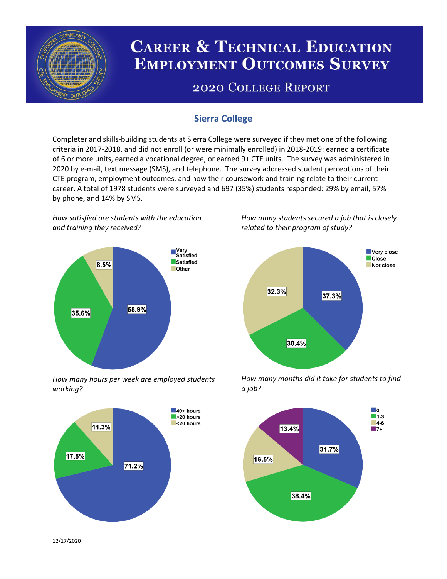

# **CAREER & TECHNICAL EDUCATION EMPLOYMENT OUTCOMES SURVEY**

## **2020 COLLEGE REPORT**

## **Sierra College**

Completer and skills-building students at Sierra College were surveyed if they met one of the following criteria in 2017-2018, and did not enroll (or were minimally enrolled) in 2018-2019: earned a certificate of 6 or more units, earned a vocational degree, or earned 9+ CTE units. The survey was administered in 2020 by e-mail, text message (SMS), and telephone. The survey addressed student perceptions of their CTE program, employment outcomes, and how their coursework and training relate to their current career. A total of 1978 students were surveyed and 697 (35%) students responded: 29% by email, 57% by phone, and 14% by SMS.

*How satisfied are students with the education and training they received?*



*How many hours per week are employed students working?*



*How many students secured a job that is closely related to their program of study?*



*How many months did it take for students to find a job?*